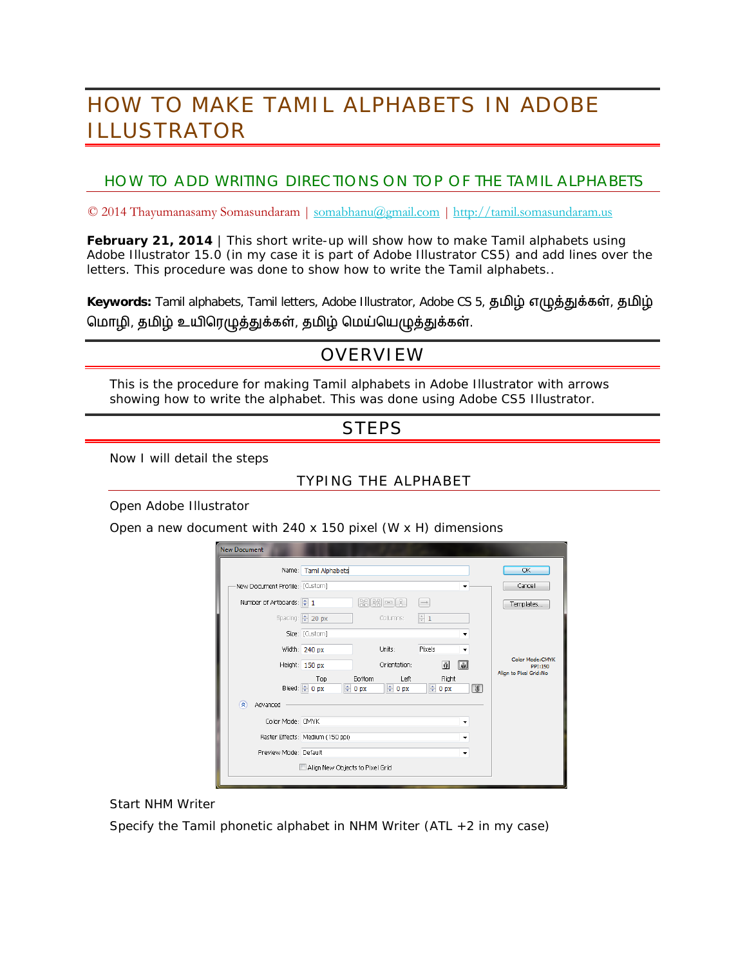# HOW TO MAKE TAMIL ALPHABETS IN ADOBE ILLUSTRATOR

### HOW TO ADD WRITING DIRECTIONS ON TOP OF THE TAMIL ALPHABETS

© 2014 Thayumanasamy Somasundaram | [somabhanu@gmail.com](mailto:somabhanu@gmail.com) *|* [http://tamil.somasundaram.us](http://tamil.somasundaram.us/)

**February 21, 2014** | This short write-up will show how to make Tamil alphabets using Adobe Illustrator 15.0 (in my case it is part of Adobe Illustrator CS5) and add lines over the letters. This procedure was done to show how to write the Tamil alphabets..

Keywords: Tamil alphabets, Tamil letters, Adobe Illustrator, Adobe CS 5, தமிழ் எழுத்துக்கள், தமிழ் மொழி, தமிழ் உயிரெழுத்துக்கள், தமிழ் மெய்யெழுத்துக்கள்.

## OVERVIEW

This is the procedure for making Tamil alphabets in Adobe Illustrator with arrows showing how to write the alphabet. This was done using Adobe CS5 Illustrator.

## **STEPS**

Now I will detail the steps

#### TYPING THE ALPHABET

Open Adobe Illustrator

Open a new document with 240 x 150 pixel (W x H) dimensions

|                                                                          | Name: Tamil Alphabets                 |                                |                     |                   |                        |            | OK                                                    |
|--------------------------------------------------------------------------|---------------------------------------|--------------------------------|---------------------|-------------------|------------------------|------------|-------------------------------------------------------|
| New Document Profile: [Custom]                                           |                                       |                                |                     |                   |                        |            | Cancel                                                |
| Number of Artboards: $\begin{array}{ c c c }\hline \cdots \end{array}$ 1 |                                       |                                | [없][23][00][응]      | $\longrightarrow$ |                        |            | Templates                                             |
|                                                                          | Spacing: $\Rightarrow$ 20 px          |                                | Columns:            | $\frac{1}{x}$ 1   |                        |            |                                                       |
|                                                                          | Size: [Custom]                        |                                |                     |                   |                        |            |                                                       |
|                                                                          | Width: 240 px                         |                                | Units:              | Pixels            |                        | ▼          |                                                       |
|                                                                          | Height: 150 px                        |                                | Orientation:        |                   | ŵ                      | H          | Color Mode:CMYK<br>PPI:150<br>Align to Pixel Grid: No |
|                                                                          | Top<br>Bleed: $\bigcirc$ 0 px         | <b>Bottom</b><br>$\oplus$ 0 px | Left<br>$\div 0$ px |                   | Right<br>$\oplus$ 0 px | $\sqrt{3}$ |                                                       |
| 交<br>Advanced                                                            |                                       |                                |                     |                   |                        |            |                                                       |
| Color Mode: CMYK                                                         | ٠                                     |                                |                     |                   |                        |            |                                                       |
|                                                                          | Raster Effects: Medium (150 ppi)<br>٠ |                                |                     |                   |                        |            |                                                       |
| Preview Mode: Default                                                    | ٠                                     |                                |                     |                   |                        |            |                                                       |
|                                                                          | Align New Objects to Pixel Grid       |                                |                     |                   |                        |            |                                                       |

Start NHM Writer

Specify the Tamil phonetic alphabet in NHM Writer (ATL  $+2$  in my case)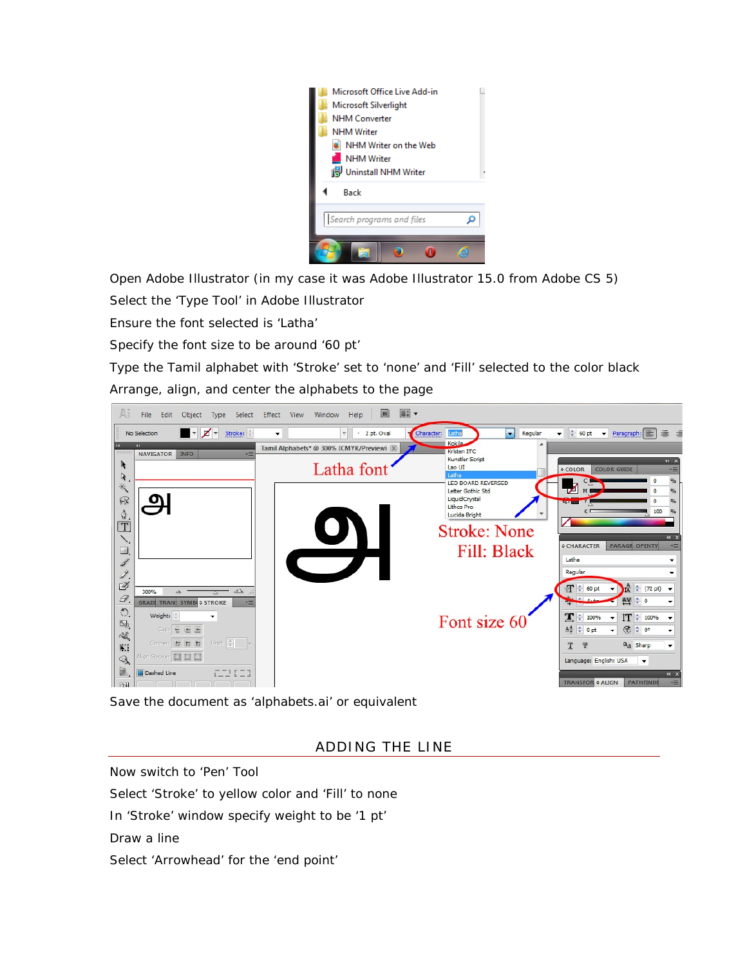

Open Adobe Illustrator (in my case it was Adobe Illustrator 15.0 from Adobe CS 5)

Select the 'Type Tool' in Adobe Illustrator

Ensure the font selected is 'Latha'

Specify the font size to be around '60 pt'

Type the Tamil alphabet with 'Stroke' set to 'none' and 'Fill' selected to the color black Arrange, align, and center the alphabets to the page



Save the document as 'alphabets.ai' or equivalent

ADDING THE LINE

Now switch to 'Pen' Tool Select 'Stroke' to yellow color and 'Fill' to none In 'Stroke' window specify weight to be '1 pt' Draw a line

Select 'Arrowhead' for the 'end point'